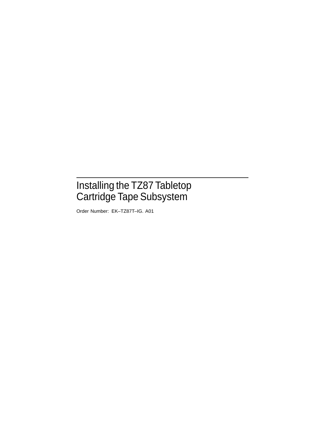## Installing the TZ87 Tabletop Cartridge Tape Subsystem

Order Number: EK–TZ87T–IG. A01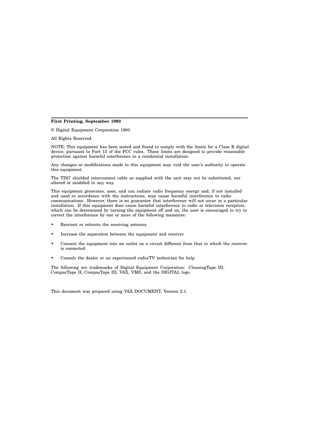#### **First Printing, September 1993**

© Digital Equipment Corporation 1993.

All Rights Reserved.

NOTE: This equipment has been tested and found to comply with the limits for a Class B digital device, pursuant to Part 15 of the FCC rules. These limits are designed to provide reasonable protection against harmful interference in a residential installation.

Any changes or modifications made to this equipment may void the user's authority to operate this equipment.

The TZ87 shielded interconnect cable as supplied with the unit may not be substituted, nor altered or modified in any way.

This equipment generates, uses, and can radiate radio frequency energy and, if not installed and used in accordance with the instructions, may cause harmful interference to radio communications. However, there is no guarantee that interference will not occur in a particular installation. If this equipment does cause harmful interference to radio or television reception, which can be determined by turning the equipment off and on, the user is encouraged to try to correct the interference by one or more of the following measures:

- Reorient or relocate the receiving antenna
- Increase the separation between the equipment and receiver
- Connect the equipment into an outlet on a circuit different from that to which the receiver is connected
- Consult the dealer or an experienced radio/TV technician for help

The following are trademarks of Digital Equipment Corporation: CleaningTape III, CompacTape II, CompacTape III, VAX, VMS, and the DIGITAL logo.

This document was prepared using VAX DOCUMENT, Version 2.1.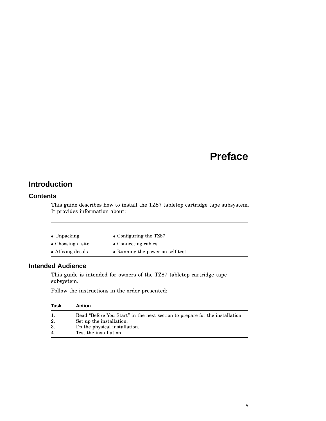## **Preface**

## **Introduction**

#### **Contents**

This guide describes how to install the TZ87 tabletop cartridge tape subsystem. It provides information about:

| $\bullet$ Unpacking | • Configuring the TZ87           |
|---------------------|----------------------------------|
| • Choosing a site   | • Connecting cables              |
| • Affixing decals   | • Running the power-on self-test |

#### **Intended Audience**

This guide is intended for owners of the TZ87 tabletop cartridge tape subsystem.

Follow the instructions in the order presented:

| <b>Task</b>    | <b>Action</b>                                                                |
|----------------|------------------------------------------------------------------------------|
|                | Read "Before You Start" in the next section to prepare for the installation. |
| 2.             | Set up the installation.                                                     |
| 3.             | Do the physical installation.                                                |
| $\overline{4}$ | Test the installation.                                                       |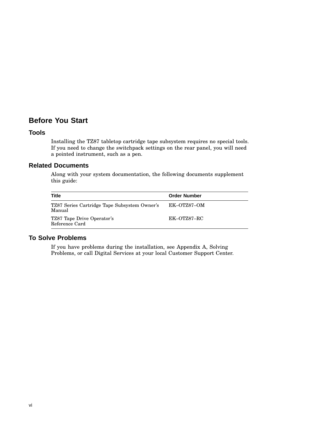## **Before You Start**

#### **Tools**

Installing the TZ87 tabletop cartridge tape subsystem requires no special tools. If you need to change the switchpack settings on the rear panel, you will need a pointed instrument, such as a pen.

#### **Related Documents**

Along with your system documentation, the following documents supplement this guide:

| Title                                                  | <b>Order Number</b> |
|--------------------------------------------------------|---------------------|
| TZ87 Series Cartridge Tape Subsystem Owner's<br>Manual | EK-OTZ87-OM         |
| TZ87 Tape Drive Operator's<br>Reference Card           | EK-OTZ87-RC         |

#### **To Solve Problems**

If you have problems during the installation, see Appendix A, Solving Problems, or call Digital Services at your local Customer Support Center.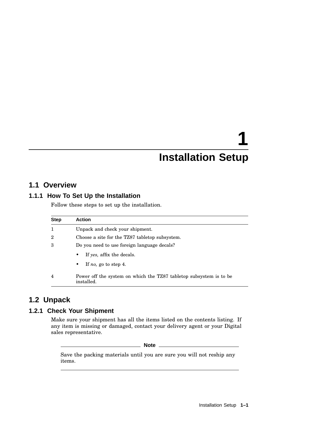## **1 Installation Setup**

## **1.1 Overview**

#### **1.1.1 How To Set Up the Installation**

Follow these steps to set up the installation.

| <b>Step</b> | <b>Action</b>                                                                    |  |  |  |
|-------------|----------------------------------------------------------------------------------|--|--|--|
|             | Unpack and check your shipment.                                                  |  |  |  |
| 2           | Choose a site for the TZ87 tabletop subsystem.                                   |  |  |  |
| 3           | Do you need to use foreign language decals?                                      |  |  |  |
|             | If yes, affix the decals.<br>٠                                                   |  |  |  |
|             | If no, go to step 4.<br>$\bullet$                                                |  |  |  |
| 4           | Power off the system on which the TZ87 tabletop subsystem is to be<br>installed. |  |  |  |

### **1.2 Unpack**

#### **1.2.1 Check Your Shipment**

Make sure your shipment has all the items listed on the contents listing. If any item is missing or damaged, contact your delivery agent or your Digital sales representative.

**Note** \_\_\_\_

Save the packing materials until you are sure you will not reship any items.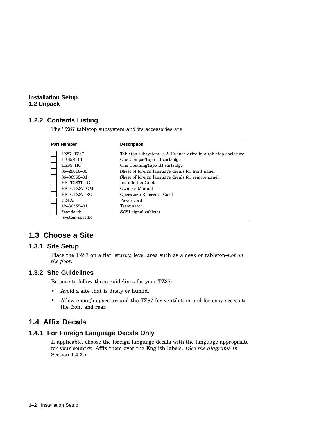#### **Installation Setup 1.2 Unpack**

#### **1.2.2 Contents Listing**

The TZ87 tabletop subsystem and its accessories are:

| <b>Part Number</b>                                                         | <b>Description</b>                                                                 |
|----------------------------------------------------------------------------|------------------------------------------------------------------------------------|
| TZ87-TZ87                                                                  | Tabletop subsystem: a 5-1/4-inch drive in a tabletop enclosure                     |
| TK85K-01                                                                   | One CompacTape III cartridge                                                       |
| <b>TK85-HC</b>                                                             | One CleaningTape III cartridge                                                     |
| 36-28816-03                                                                | Sheet of foreign language decals for front panel                                   |
| 36-36963-01                                                                | Sheet of foreign language decals for remote panel                                  |
| $EK-TZ87T-IG$                                                              | Installation Guide                                                                 |
| EK-OTZ87-OM                                                                | Owner's Manual                                                                     |
| EK-OTZ87-RC<br>U.S.A.<br>$12 - 30552 - 01$<br>Standard/<br>system-specific | Operator's Reference Card<br>Power cord<br>Terminator<br>$SCSI$ signal cable $(s)$ |

## **1.3 Choose a Site**

#### **1.3.1 Site Setup**

Place the TZ87 on a flat, sturdy, level area such as a desk or tabletop–*not on the floor.*

#### **1.3.2 Site Guidelines**

Be sure to follow these guidelines for your TZ87:

- Avoid a site that is dusty or humid.
- Allow enough space around the TZ87 for ventilation and for easy access to the front and rear.

### **1.4 Affix Decals**

#### **1.4.1 For Foreign Language Decals Only**

If applicable, choose the foreign language decals with the language appropriate for your country. Affix them over the English labels. (*See the diagrams in* Section 1.4.3.)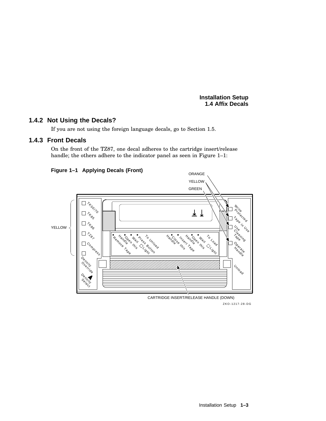**Installation Setup 1.4 Affix Decals**

#### **1.4.2 Not Using the Decals?**

If you are not using the foreign language decals, go to Section 1.5.

#### **1.4.3 Front Decals**

On the front of the TZ87, one decal adheres to the cartridge insert/release handle; the others adhere to the indicator panel as seen in Figure 1-1:



ZKO-1217-28-DG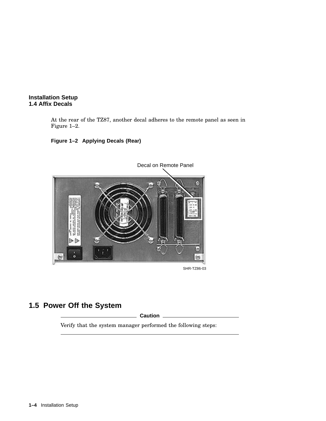

At the rear of the TZ87, another decal adheres to the remote panel as seen in Figure 1–2.





SHR-TZ86-03

## **1.5 Power Off the System**

**Caution** 2008

Verify that the system manager performed the following steps: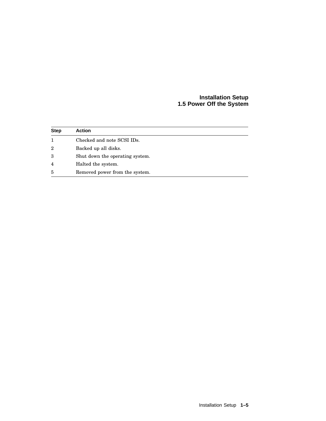#### **Installation Setup 1.5 Power Off the System**

| <b>Step</b>    | <b>Action</b>                   |
|----------------|---------------------------------|
|                | Checked and note SCSI IDs.      |
| $\overline{2}$ | Backed up all disks.            |
| 3              | Shut down the operating system. |
| $\overline{4}$ | Halted the system.              |
| 5              | Removed power from the system.  |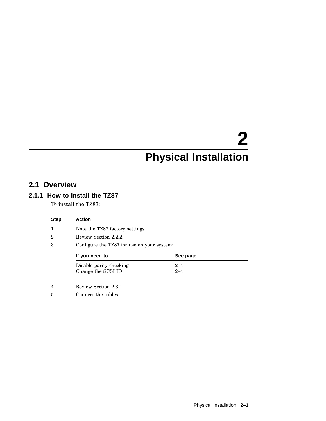## **2 Physical Installation**

## **2.1 Overview**

#### **2.1.1 How to Install the TZ87**

To install the TZ87:

| <b>Step</b> | <b>Action</b>                              |           |  |
|-------------|--------------------------------------------|-----------|--|
| 1           | Note the TZ87 factory settings.            |           |  |
| $\mathbf 2$ | Review Section 2.2.2.                      |           |  |
| 3           | Configure the TZ87 for use on your system: |           |  |
|             | If you need to.                            | See page. |  |
|             | Disable parity checking                    | $2 - 4$   |  |
|             | Change the SCSI ID                         | $2 - 4$   |  |
| 4           | Review Section 2.3.1.                      |           |  |
| 5           | Connect the cables.                        |           |  |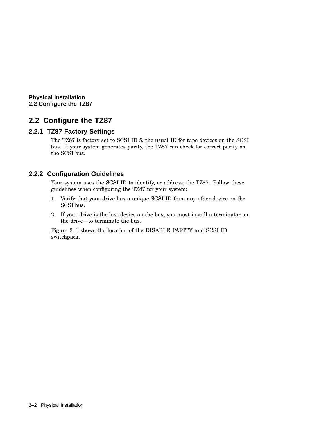**Physical Installation 2.2 Configure the TZ87**

## **2.2 Configure the TZ87**

#### **2.2.1 TZ87 Factory Settings**

The TZ87 is factory set to SCSI ID 5, the usual ID for tape devices on the SCSI bus. If your system generates parity, the TZ87 can check for correct parity on the SCSI bus.

#### **2.2.2 Configuration Guidelines**

Your system uses the SCSI ID to identify, or address, the TZ87. Follow these guidelines when configuring the TZ87 for your system:

- 1. Verify that your drive has a unique SCSI ID from any other device on the SCSI bus.
- 2. If your drive is the last device on the bus, you must install a terminator on the drive—to terminate the bus.

Figure 2–1 shows the location of the DISABLE PARITY and SCSI ID switchpack.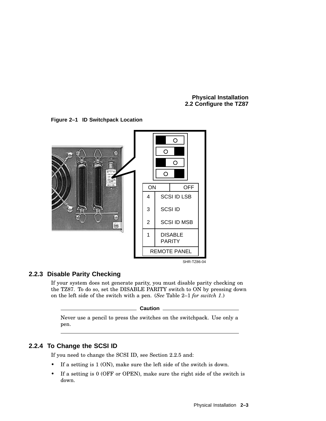**Physical Installation 2.2 Configure the TZ87**





#### **2.2.3 Disable Parity Checking**

If your system does not generate parity, you must disable parity checking on the TZ87. To do so, set the DISABLE PARITY switch to ON by pressing down on the left side of the switch with a pen. (*See* Table 2–1 *for switch 1*.)

**Caution**

Never use a pencil to press the switches on the switchpack. Use only a pen.

#### **2.2.4 To Change the SCSI ID**

If you need to change the SCSI ID, see Section 2.2.5 and:

- If a setting is 1 (ON), make sure the left side of the switch is down.
- If a setting is 0 (OFF or OPEN), make sure the right side of the switch is down.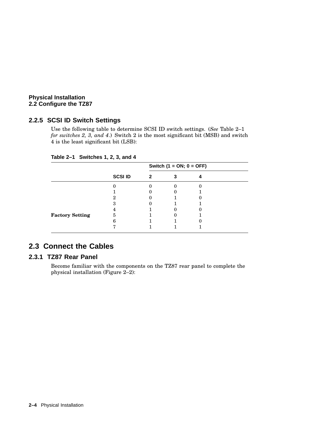#### **Physical Installation 2.2 Configure the TZ87**

#### **2.2.5 SCSI ID Switch Settings**

Use the following table to determine SCSI ID switch settings. (*See* Table 2–1 *for switches 2, 3, and 4*.) Switch 2 is the most significant bit (MSB) and switch 4 is the least significant bit (LSB):

|                        | <b>SCSI ID</b> | Switch $(1 = ON; 0 = OFF)$ |  |  |  |
|------------------------|----------------|----------------------------|--|--|--|
|                        |                | 2                          |  |  |  |
|                        |                |                            |  |  |  |
|                        |                |                            |  |  |  |
|                        |                |                            |  |  |  |
|                        |                |                            |  |  |  |
|                        |                |                            |  |  |  |
| <b>Factory Setting</b> | 5              |                            |  |  |  |
|                        |                |                            |  |  |  |
|                        |                |                            |  |  |  |

**Table 2–1 Switches 1, 2, 3, and 4**

## **2.3 Connect the Cables**

#### **2.3.1 TZ87 Rear Panel**

Become familiar with the components on the TZ87 rear panel to complete the physical installation (Figure 2–2):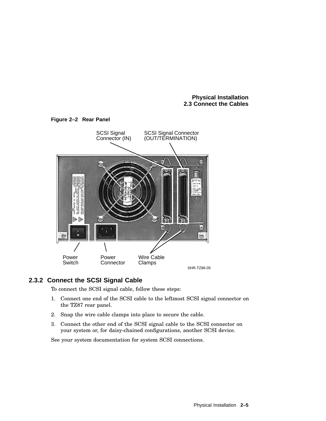#### **Physical Installation 2.3 Connect the Cables**



#### **2.3.2 Connect the SCSI Signal Cable**

To connect the SCSI signal cable, follow these steps:

- 1. Connect one end of the SCSI cable to the leftmost SCSI signal connector on the TZ87 rear panel.
- 2. Snap the wire cable clamps into place to secure the cable.
- 3. Connect the other end of the SCSI signal cable to the SCSI connector on your system or, for daisy-chained configurations, another SCSI device.

See your system documentation for system SCSI connections.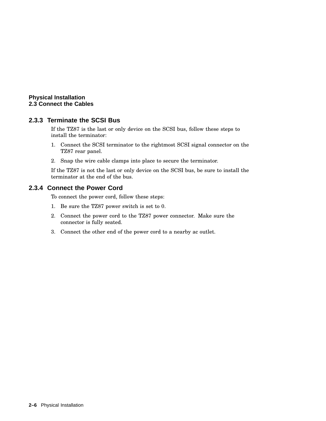#### **Physical Installation 2.3 Connect the Cables**

#### **2.3.3 Terminate the SCSI Bus**

If the TZ87 is the last or only device on the SCSI bus, follow these steps to install the terminator:

- 1. Connect the SCSI terminator to the rightmost SCSI signal connector on the TZ87 rear panel.
- 2. Snap the wire cable clamps into place to secure the terminator.

If the TZ87 is not the last or only device on the SCSI bus, be sure to install the terminator at the end of the bus.

#### **2.3.4 Connect the Power Cord**

To connect the power cord, follow these steps:

- 1. Be sure the TZ87 power switch is set to 0.
- 2. Connect the power cord to the TZ87 power connector. Make sure the connector is fully seated.
- 3. Connect the other end of the power cord to a nearby ac outlet.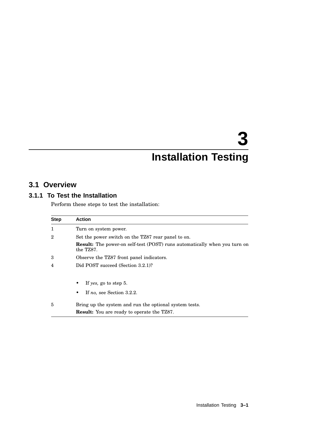## **3 Installation Testing**

## **3.1 Overview**

#### **3.1.1 To Test the Installation**

Perform these steps to test the installation:

| <b>Step</b> | <b>Action</b>                                                                                 |
|-------------|-----------------------------------------------------------------------------------------------|
| 1           | Turn on system power.                                                                         |
| 2           | Set the power switch on the TZ87 rear panel to on.                                            |
|             | <b>Result:</b> The power-on self-test (POST) runs automatically when you turn on<br>the TZ87. |
| 3           | Observe the TZ87 front panel indicators.                                                      |
| 4           | Did POST succeed (Section 3.2.1)?                                                             |
|             | If yes, go to step 5.                                                                         |
|             | If no, see Section 3.2.2.<br>٠                                                                |
| 5           | Bring up the system and run the optional system tests.                                        |
|             | <b>Result:</b> You are ready to operate the TZ87.                                             |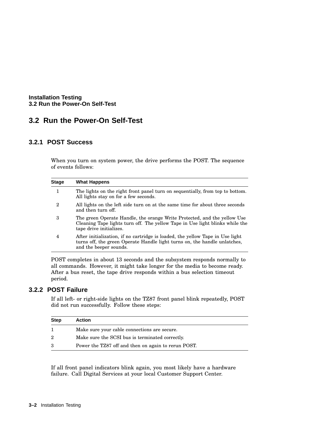**Installation Testing 3.2 Run the Power-On Self-Test**

## **3.2 Run the Power-On Self-Test**

#### **3.2.1 POST Success**

When you turn on system power, the drive performs the POST. The sequence of events follows:

| <b>Stage</b> | <b>What Happens</b>                                                                                                                                                                  |
|--------------|--------------------------------------------------------------------------------------------------------------------------------------------------------------------------------------|
| 1            | The lights on the right front panel turn on sequentially, from top to bottom.<br>All lights stay on for a few seconds.                                                               |
| 2            | All lights on the left side turn on at the same time for about three seconds<br>and then turn off.                                                                                   |
| 3            | The green Operate Handle, the orange Write Protected, and the yellow Use<br>Cleaning Tape lights turn off. The yellow Tape in Use light blinks while the<br>tape drive initializes.  |
| 4            | After initialization, if no cartridge is loaded, the yellow Tape in Use light<br>turns off, the green Operate Handle light turns on, the handle unlatches,<br>and the beeper sounds. |
|              |                                                                                                                                                                                      |

POST completes in about 13 seconds and the subsystem responds normally to all commands. However, it might take longer for the media to become ready. After a bus reset, the tape drive responds within a bus selection timeout period.

#### **3.2.2 POST Failure**

If all left- or right-side lights on the TZ87 front panel blink repeatedly, POST did not run successfully. Follow these steps:

| <b>Step</b> | <b>Action</b>                                       |
|-------------|-----------------------------------------------------|
|             | Make sure your cable connections are secure.        |
| 2           | Make sure the SCSI bus is terminated correctly.     |
| 3           | Power the TZ87 off and then on again to rerun POST. |

If all front panel indicators blink again, you most likely have a hardware failure. Call Digital Services at your local Customer Support Center.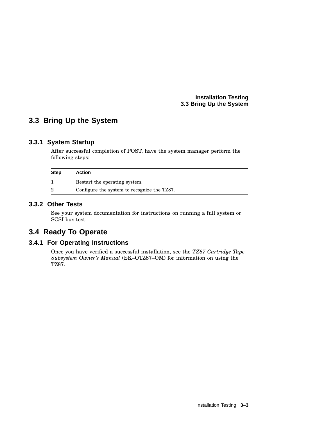#### **Installation Testing 3.3 Bring Up the System**

## **3.3 Bring Up the System**

#### **3.3.1 System Startup**

After successful completion of POST, have the system manager perform the following steps:

| <b>Step</b>    | <b>Action</b>                               |
|----------------|---------------------------------------------|
|                | Restart the operating system.               |
| $\overline{2}$ | Configure the system to recognize the TZ87. |

#### **3.3.2 Other Tests**

See your system documentation for instructions on running a full system or SCSI bus test.

## **3.4 Ready To Operate**

#### **3.4.1 For Operating Instructions**

Once you have verified a successful installation, see the *TZ87 Cartridge Tape Subsystem Owner's Manual* (EK–OTZ87–OM) for information on using the TZ87.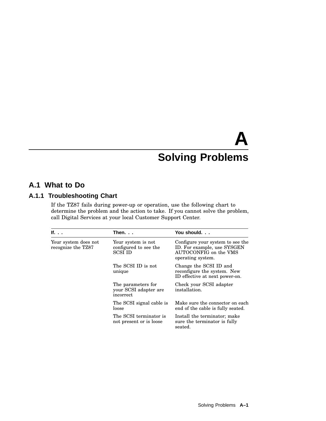# **A Solving Problems**

## **A.1 What to Do**

#### **A.1.1 Troubleshooting Chart**

If the TZ87 fails during power-up or operation, use the following chart to determine the problem and the action to take. If you cannot solve the problem, call Digital Services at your local Customer Support Center.

| If.                                        | Then.                                                         | You should.                                                                                                   |
|--------------------------------------------|---------------------------------------------------------------|---------------------------------------------------------------------------------------------------------------|
| Your system does not<br>recognize the TZ87 | Your system is not<br>configured to see the<br><b>SCSI ID</b> | Configure your system to see the<br>ID. For example, use SYSGEN<br>AUTOCONFIG on the VMS<br>operating system. |
|                                            | The SCSI ID is not<br>unique                                  | Change the SCSI ID and<br>reconfigure the system. New<br>ID effective at next power-on.                       |
|                                            | The parameters for<br>your SCSI adapter are<br>incorrect      | Check your SCSI adapter<br>installation.                                                                      |
|                                            | The SCSI signal cable is<br>loose                             | Make sure the connector on each<br>end of the cable is fully seated.                                          |
|                                            | The SCSI terminator is<br>not present or is loose             | Install the terminator; make<br>sure the terminator is fully<br>seated.                                       |